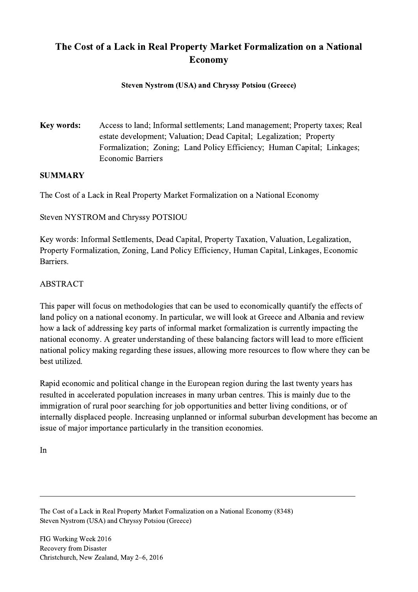# The Cost of a Lack in Real Property Market Formalization on a National Economy

### Steven Nystrom (USA) and Chryssy Potsiou (Greece)

Key words: Access to land; Informal settlements; Land management; Property taxes; Real estate development; Valuation; Dead Capital; Legalization; Property Formalization; Zoning; Land Policy Efficiency; Human Capital; Linkages; Economic Barriers

#### **SUMMARY**

The Cost of a Lack in Real Property Market Formalization on a National Economy

Steven NYSTROM and Chryssy POTSIOU

Key words: Informal Settlements, Dead Capital, Property Taxation, Valuation, Legalization, Property Formalization, Zoning, Land Policy Efficiency, Human Capital, Linkages, Economic Barriers.

### ABSTRACT

This paper will focus on methodologies that can be used to economically quantify the effects of land policy on a national economy. In particular, we will look at Greece and Albania and review how a lack of addressing key parts of informal market formalization is currently impacting the national economy. A greater understanding of these balancing factors will lead to more efficient national policy making regarding these issues, allowing more resources to flow where they can be best utilized.

Rapid economic and political change in the European region during the last twenty years has resulted in accelerated population increases in many urban centres. This is mainly due to the immigration of rural poor searching for job opportunities and better living conditions, or of internally displaced people. Increasing unplanned or informal suburban development has become an issue of major importance particularly in the transition economies.

 $\mathcal{L}_\mathcal{L} = \{ \mathcal{L}_\mathcal{L} = \{ \mathcal{L}_\mathcal{L} = \{ \mathcal{L}_\mathcal{L} = \{ \mathcal{L}_\mathcal{L} = \{ \mathcal{L}_\mathcal{L} = \{ \mathcal{L}_\mathcal{L} = \{ \mathcal{L}_\mathcal{L} = \{ \mathcal{L}_\mathcal{L} = \{ \mathcal{L}_\mathcal{L} = \{ \mathcal{L}_\mathcal{L} = \{ \mathcal{L}_\mathcal{L} = \{ \mathcal{L}_\mathcal{L} = \{ \mathcal{L}_\mathcal{L} = \{ \mathcal{L}_\mathcal{$ 

In

The Cost of a Lack in Real Property Market Formalization on a National Economy (8348) Steven Nystrom (USA) and Chryssy Potsiou (Greece)